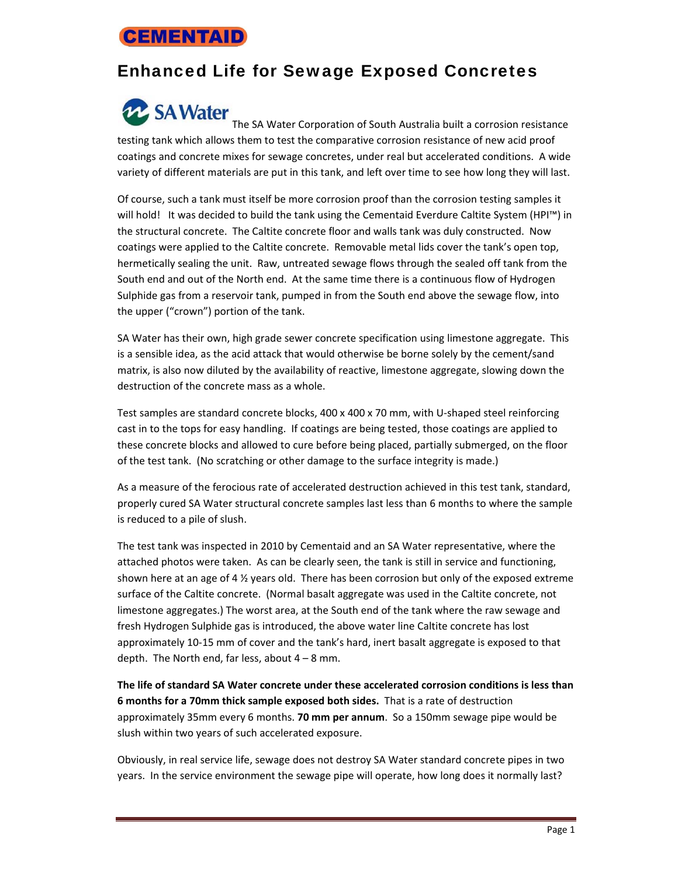## **CEMENTAID**

## Enhanced Life for Sewage Exposed Concretes

## **22 SA Water**

The SA Water Corporation of South Australia built a corrosion resistance testing tank which allows them to test the comparative corrosion resistance of new acid proof coatings and concrete mixes for sewage concretes, under real but accelerated conditions. A wide variety of different materials are put in this tank, and left over time to see how long they will last.

Of course, such a tank must itself be more corrosion proof than the corrosion testing samples it will hold! It was decided to build the tank using the Cementaid Everdure Caltite System (HPI™) in the structural concrete. The Caltite concrete floor and walls tank was duly constructed. Now coatings were applied to the Caltite concrete. Removable metal lids cover the tank's open top, hermetically sealing the unit. Raw, untreated sewage flows through the sealed off tank from the South end and out of the North end. At the same time there is a continuous flow of Hydrogen Sulphide gas from a reservoir tank, pumped in from the South end above the sewage flow, into the upper ("crown") portion of the tank.

SA Water has their own, high grade sewer concrete specification using limestone aggregate. This is a sensible idea, as the acid attack that would otherwise be borne solely by the cement/sand matrix, is also now diluted by the availability of reactive, limestone aggregate, slowing down the destruction of the concrete mass as a whole.

Test samples are standard concrete blocks, 400 x 400 x 70 mm, with U-shaped steel reinforcing cast in to the tops for easy handling. If coatings are being tested, those coatings are applied to these concrete blocks and allowed to cure before being placed, partially submerged, on the floor of the test tank. (No scratching or other damage to the surface integrity is made.)

As a measure of the ferocious rate of accelerated destruction achieved in this test tank, standard, properly cured SA Water structural concrete samples last less than 6 months to where the sample is reduced to a pile of slush.

The test tank was inspected in 2010 by Cementaid and an SA Water representative, where the attached photos were taken. As can be clearly seen, the tank is still in service and functioning, shown here at an age of 4 ½ years old. There has been corrosion but only of the exposed extreme surface of the Caltite concrete. (Normal basalt aggregate was used in the Caltite concrete, not limestone aggregates.) The worst area, at the South end of the tank where the raw sewage and fresh Hydrogen Sulphide gas is introduced, the above water line Caltite concrete has lost approximately 10‐15 mm of cover and the tank's hard, inert basalt aggregate is exposed to that depth. The North end, far less, about  $4 - 8$  mm.

**The life of standard SA Water concrete under these accelerated corrosion conditions is less than 6 months for a 70mm thick sample exposed both sides.** That is a rate of destruction approximately 35mm every 6 months. **70 mm per annum**. So a 150mm sewage pipe would be slush within two years of such accelerated exposure.

Obviously, in real service life, sewage does not destroy SA Water standard concrete pipes in two years. In the service environment the sewage pipe will operate, how long does it normally last?